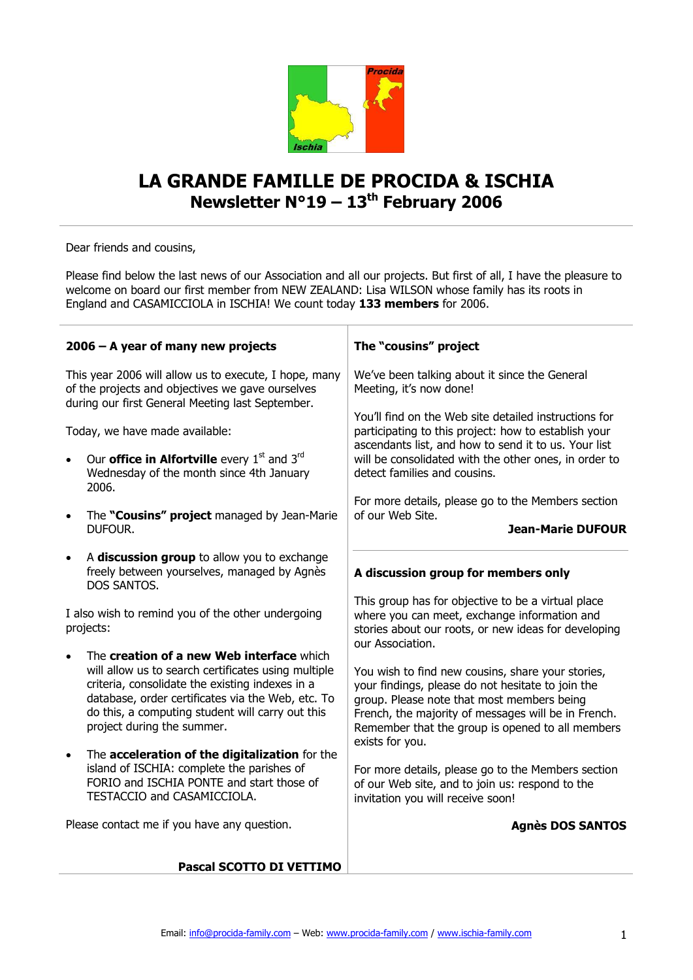

## **LA GRANDE FAMILLE DE PROCIDA & ISCHIA Newsletter N°19 – 13th February 2006**

Dear friends and cousins,

Please find below the last news of our Association and all our projects. But first of all, I have the pleasure to welcome on board our first member from NEW ZEALAND: Lisa WILSON whose family has its roots in England and CASAMICCIOLA in ISCHIA! We count today **133 members** for 2006.

| 2006 - A year of many new projects                                                                                                                                                                                                                                                         | The "cousins" project                                                                                                                                                                                                                                                                                                |
|--------------------------------------------------------------------------------------------------------------------------------------------------------------------------------------------------------------------------------------------------------------------------------------------|----------------------------------------------------------------------------------------------------------------------------------------------------------------------------------------------------------------------------------------------------------------------------------------------------------------------|
| This year 2006 will allow us to execute, I hope, many<br>of the projects and objectives we gave ourselves<br>during our first General Meeting last September.                                                                                                                              | We've been talking about it since the General<br>Meeting, it's now done!                                                                                                                                                                                                                                             |
| Today, we have made available:<br>Our <b>office in Alfortville</b> every $1st$ and $3rd$<br>Wednesday of the month since 4th January<br>2006.                                                                                                                                              | You'll find on the Web site detailed instructions for<br>participating to this project: how to establish your<br>ascendants list, and how to send it to us. Your list<br>will be consolidated with the other ones, in order to<br>detect families and cousins.<br>For more details, please go to the Members section |
| The "Cousins" project managed by Jean-Marie<br>$\bullet$<br>DUFOUR.                                                                                                                                                                                                                        | of our Web Site.<br><b>Jean-Marie DUFOUR</b>                                                                                                                                                                                                                                                                         |
| A discussion group to allow you to exchange<br>$\bullet$<br>freely between yourselves, managed by Agnès<br>DOS SANTOS.                                                                                                                                                                     | A discussion group for members only                                                                                                                                                                                                                                                                                  |
| I also wish to remind you of the other undergoing<br>projects:                                                                                                                                                                                                                             | This group has for objective to be a virtual place<br>where you can meet, exchange information and<br>stories about our roots, or new ideas for developing<br>our Association.                                                                                                                                       |
| The creation of a new Web interface which<br>will allow us to search certificates using multiple<br>criteria, consolidate the existing indexes in a<br>database, order certificates via the Web, etc. To<br>do this, a computing student will carry out this<br>project during the summer. | You wish to find new cousins, share your stories,<br>your findings, please do not hesitate to join the<br>group. Please note that most members being<br>French, the majority of messages will be in French.<br>Remember that the group is opened to all members<br>exists for you.                                   |
| The acceleration of the digitalization for the<br>$\bullet$<br>island of ISCHIA: complete the parishes of<br>FORIO and ISCHIA PONTE and start those of<br>TESTACCIO and CASAMICCIOLA.                                                                                                      | For more details, please go to the Members section<br>of our Web site, and to join us: respond to the<br>invitation you will receive soon!                                                                                                                                                                           |
| Please contact me if you have any question.                                                                                                                                                                                                                                                | <b>Agnès DOS SANTOS</b>                                                                                                                                                                                                                                                                                              |
| Pascal SCOTTO DI VETTIMO                                                                                                                                                                                                                                                                   |                                                                                                                                                                                                                                                                                                                      |